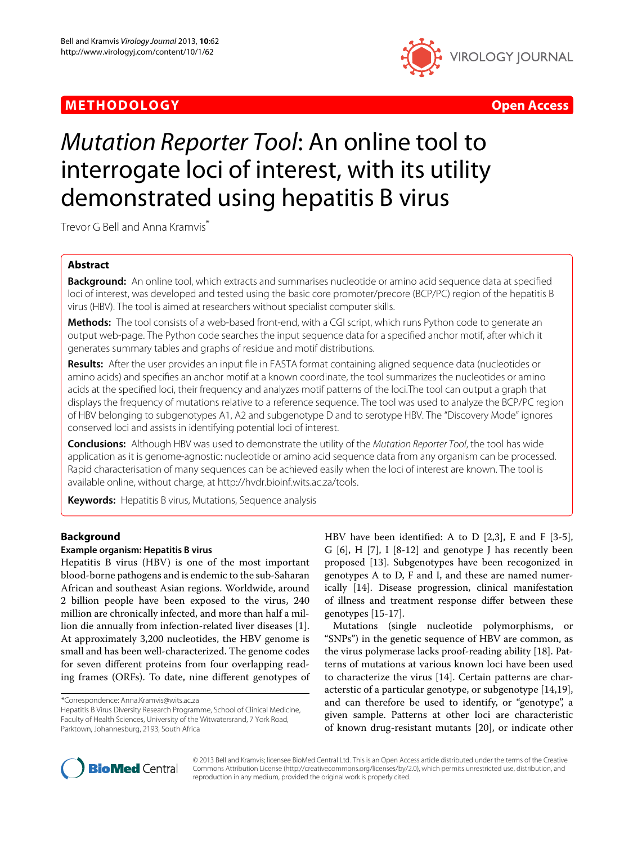# **METHODOLOGY Open Access**



# *Mutation Reporter Tool*: An online tool to interrogate loci of interest, with its utility demonstrated using hepatitis B virus

Trevor G Bell and Anna Kramvis<sup>\*</sup>

# **Abstract**

**Background:** An online tool, which extracts and summarises nucleotide or amino acid sequence data at specified loci of interest, was developed and tested using the basic core promoter/precore (BCP/PC) region of the hepatitis B virus (HBV). The tool is aimed at researchers without specialist computer skills.

**Methods:** The tool consists of a web-based front-end, with a CGI script, which runs Python code to generate an output web-page. The Python code searches the input sequence data for a specified anchor motif, after which it generates summary tables and graphs of residue and motif distributions.

**Results:** After the user provides an input file in FASTA format containing aligned sequence data (nucleotides or amino acids) and specifies an anchor motif at a known coordinate, the tool summarizes the nucleotides or amino acids at the specified loci, their frequency and analyzes motif patterns of the loci.The tool can output a graph that displays the frequency of mutations relative to a reference sequence. The tool was used to analyze the BCP/PC region of HBV belonging to subgenotypes A1, A2 and subgenotype D and to serotype HBV. The "Discovery Mode" ignores conserved loci and assists in identifying potential loci of interest.

**Conclusions:** Although HBV was used to demonstrate the utility of the Mutation Reporter Tool, the tool has wide application as it is genome-agnostic: nucleotide or amino acid sequence data from any organism can be processed. Rapid characterisation of many sequences can be achieved easily when the loci of interest are known. The tool is available online, without charge, at [http://hvdr.bioinf.wits.ac.za/tools.](http://hvdr.bioinf.wits.ac.za/tools)

**Keywords:** Hepatitis B virus, Mutations, Sequence analysis

# **Background**

# **Example organism: Hepatitis B virus**

Hepatitis B virus (HBV) is one of the most important blood-borne pathogens and is endemic to the sub-Saharan African and southeast Asian regions. Worldwide, around 2 billion people have been exposed to the virus, 240 million are chronically infected, and more than half a million die annually from infection-related liver diseases [\[1\]](#page-6-0). At approximately 3,200 nucleotides, the HBV genome is small and has been well-characterized. The genome codes for seven different proteins from four overlapping reading frames (ORFs). To date, nine different genotypes of

\*Correspondence: Anna.Kramvis@wits.ac.za

Hepatitis B Virus Diversity Research Programme, School of Clinical Medicine, Faculty of Health Sciences, University of the Witwatersrand, 7 York Road, Parktown, Johannesburg, 2193, South Africa

HBV have been identified: A to D [\[2](#page-6-1)[,3\]](#page-6-2), E and F [\[3](#page-6-2)[-5\]](#page-6-3), G  $[6]$ , H  $[7]$ , I  $[8-12]$  $[8-12]$  and genotype J has recently been proposed [\[13\]](#page-6-8). Subgenotypes have been recogonized in genotypes A to D, F and I, and these are named numerically [\[14\]](#page-6-9). Disease progression, clinical manifestation of illness and treatment response differ between these genotypes [\[15](#page-6-10)[-17\]](#page-6-11).

Mutations (single nucleotide polymorphisms, or "SNPs") in the genetic sequence of HBV are common, as the virus polymerase lacks proof-reading ability [\[18\]](#page-6-12). Patterns of mutations at various known loci have been used to characterize the virus [\[14\]](#page-6-9). Certain patterns are characterstic of a particular genotype, or subgenotype [\[14,](#page-6-9)[19\]](#page-6-13), and can therefore be used to identify, or "genotype", a given sample. Patterns at other loci are characteristic of known drug-resistant mutants [\[20\]](#page-6-14), or indicate other



© 2013 Bell and Kramvis; licensee BioMed Central Ltd. This is an Open Access article distributed under the terms of the Creative Commons Attribution License (http://creativecommons.org/licenses/by/2.0), which permits unrestricted use, distribution, and reproduction in any medium, provided the original work is properly cited.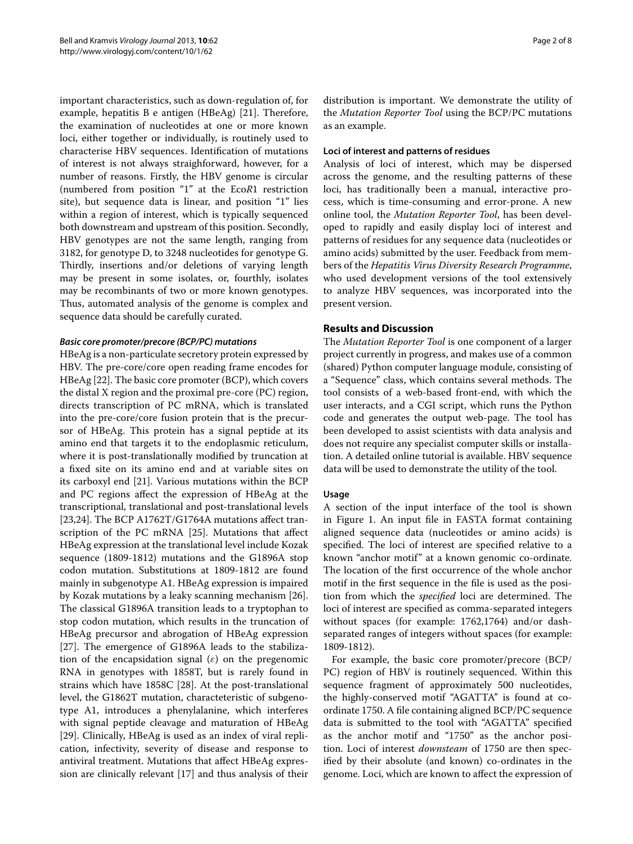important characteristics, such as down-regulation of, for example, hepatitis B e antigen (HBeAg) [\[21\]](#page-6-15). Therefore, the examination of nucleotides at one or more known loci, either together or individually, is routinely used to characterise HBV sequences. Identification of mutations of interest is not always straighforward, however, for a number of reasons. Firstly, the HBV genome is circular (numbered from position "1" at the Eco*R*1 restriction site), but sequence data is linear, and position "1" lies within a region of interest, which is typically sequenced both downstream and upstream of this position. Secondly, HBV genotypes are not the same length, ranging from 3182, for genotype D, to 3248 nucleotides for genotype G. Thirdly, insertions and/or deletions of varying length may be present in some isolates, or, fourthly, isolates may be recombinants of two or more known genotypes. Thus, automated analysis of the genome is complex and sequence data should be carefully curated.

# *Basic core promoter/precore (BCP/PC) mutations*

HBeAg is a non-particulate secretory protein expressed by HBV. The pre-core/core open reading frame encodes for HBeAg [\[22\]](#page-6-16). The basic core promoter (BCP), which covers the distal X region and the proximal pre-core (PC) region, directs transcription of PC mRNA, which is translated into the pre-core/core fusion protein that is the precursor of HBeAg. This protein has a signal peptide at its amino end that targets it to the endoplasmic reticulum, where it is post-translationally modified by truncation at a fixed site on its amino end and at variable sites on its carboxyl end [\[21\]](#page-6-15). Various mutations within the BCP and PC regions affect the expression of HBeAg at the transcriptional, translational and post-translational levels [\[23](#page-6-17)[,24\]](#page-6-18). The BCP A1762T/G1764A mutations affect transcription of the PC mRNA [\[25\]](#page-6-19). Mutations that affect HBeAg expression at the translational level include Kozak sequence (1809-1812) mutations and the G1896A stop codon mutation. Substitutions at 1809-1812 are found mainly in subgenotype A1. HBeAg expression is impaired by Kozak mutations by a leaky scanning mechanism [\[26\]](#page-6-20). The classical G1896A transition leads to a tryptophan to stop codon mutation, which results in the truncation of HBeAg precursor and abrogation of HBeAg expression [\[27\]](#page-6-21). The emergence of G1896A leads to the stabilization of the encapsidation signal (*ε*) on the pregenomic RNA in genotypes with 1858T, but is rarely found in strains which have 1858C [\[28\]](#page-6-22). At the post-translational level, the G1862T mutation, characteteristic of subgenotype A1, introduces a phenylalanine, which interferes with signal peptide cleavage and maturation of HBeAg [\[29\]](#page-6-23). Clinically, HBeAg is used as an index of viral replication, infectivity, severity of disease and response to antiviral treatment. Mutations that affect HBeAg expression are clinically relevant [\[17\]](#page-6-11) and thus analysis of their

distribution is important. We demonstrate the utility of the *Mutation Reporter Tool* using the BCP/PC mutations as an example.

# **Loci of interest and patterns of residues**

Analysis of loci of interest, which may be dispersed across the genome, and the resulting patterns of these loci, has traditionally been a manual, interactive process, which is time-consuming and error-prone. A new online tool, the *Mutation Reporter Tool*, has been developed to rapidly and easily display loci of interest and patterns of residues for any sequence data (nucleotides or amino acids) submitted by the user. Feedback from members of the *Hepatitis Virus Diversity Research Programme*, who used development versions of the tool extensively to analyze HBV sequences, was incorporated into the present version.

# **Results and Discussion**

The *Mutation Reporter Tool* is one component of a larger project currently in progress, and makes use of a common (shared) Python computer language module, consisting of a "Sequence" class, which contains several methods. The tool consists of a web-based front-end, with which the user interacts, and a CGI script, which runs the Python code and generates the output web-page. The tool has been developed to assist scientists with data analysis and does not require any specialist computer skills or installation. A detailed online tutorial is available. HBV sequence data will be used to demonstrate the utility of the tool.

# **Usage**

A section of the input interface of the tool is shown in Figure [1.](#page-2-0) An input file in FASTA format containing aligned sequence data (nucleotides or amino acids) is specified. The loci of interest are specified relative to a known "anchor motif" at a known genomic co-ordinate. The location of the first occurrence of the whole anchor motif in the first sequence in the file is used as the position from which the *specified* loci are determined. The loci of interest are specified as comma-separated integers without spaces (for example: 1762,1764) and/or dashseparated ranges of integers without spaces (for example: 1809-1812).

For example, the basic core promoter/precore (BCP/ PC) region of HBV is routinely sequenced. Within this sequence fragment of approximately 500 nucleotides, the highly-conserved motif "AGATTA" is found at coordinate 1750. A file containing aligned BCP/PC sequence data is submitted to the tool with "AGATTA" specified as the anchor motif and "1750" as the anchor position. Loci of interest *downsteam* of 1750 are then specified by their absolute (and known) co-ordinates in the genome. Loci, which are known to affect the expression of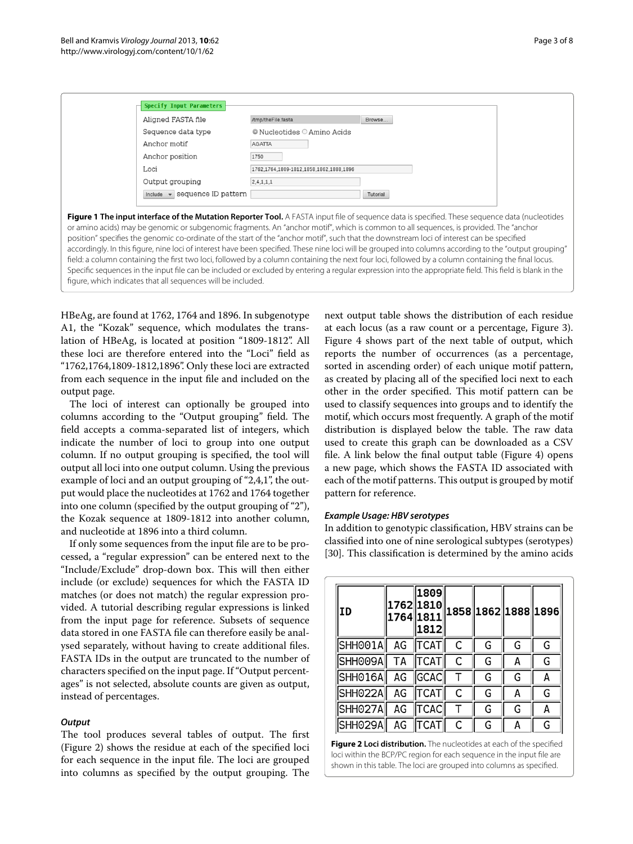| <b>Specify Input Parameters</b>           |                                                                                                                                                         |          |  |
|-------------------------------------------|---------------------------------------------------------------------------------------------------------------------------------------------------------|----------|--|
| Aligned FASTA file                        | /tmp/theFile.fasta                                                                                                                                      | Browse   |  |
| Sequence data type                        | $@$ Nucleotides $@$ Amino Acids                                                                                                                         |          |  |
| Anchor motif                              | <b>AGATTA</b>                                                                                                                                           |          |  |
| Anchor position                           | 1750                                                                                                                                                    |          |  |
| Loci                                      | 1762,1764,1809-1812,1858,1862,1888,1896                                                                                                                 |          |  |
| Output grouping                           | 2,4,1,1,1                                                                                                                                               |          |  |
| $include \rightarrow$ sequence ID pattern |                                                                                                                                                         | Tutorial |  |
|                                           |                                                                                                                                                         |          |  |
|                                           | <b>Figure 1 The input interface of the Mutation Reporter Tool.</b> A FASTA input file of sequence data is specified. These sequence data (nucleotides   |          |  |
|                                           | or amino acids) may be genomic or subgenomic fragments. An "anchor motif", which is common to all sequences, is provided. The "anchor                   |          |  |
|                                           | position" specifies the genomic co-ordinate of the start of the "anchor motif", such that the downstream loci of interest can be specified              |          |  |
|                                           | accordingly. In this figure, nine loci of interest have been specified. These nine loci will be grouped into columns according to the "output grouping" |          |  |
|                                           | field: a column containing the first two loci, followed by a column containing the next four loci, followed by a column containing the final locus.     |          |  |

<span id="page-2-0"></span>Specific sequences in the input file can be included or excluded by entering a regular expression into the appropriate field. This field is blank in the

HBeAg, are found at 1762, 1764 and 1896. In subgenotype A1, the "Kozak" sequence, which modulates the translation of HBeAg, is located at position "1809-1812". All these loci are therefore entered into the "Loci" field as "1762,1764,1809-1812,1896". Only these loci are extracted from each sequence in the input file and included on the output page.

figure, which indicates that all sequences will be included.

The loci of interest can optionally be grouped into columns according to the "Output grouping" field. The field accepts a comma-separated list of integers, which indicate the number of loci to group into one output column. If no output grouping is specified, the tool will output all loci into one output column. Using the previous example of loci and an output grouping of "2,4,1", the output would place the nucleotides at 1762 and 1764 together into one column (specified by the output grouping of "2"), the Kozak sequence at 1809-1812 into another column, and nucleotide at 1896 into a third column.

If only some sequences from the input file are to be processed, a "regular expression" can be entered next to the "Include/Exclude" drop-down box. This will then either include (or exclude) sequences for which the FASTA ID matches (or does not match) the regular expression provided. A tutorial describing regular expressions is linked from the input page for reference. Subsets of sequence data stored in one FASTA file can therefore easily be analysed separately, without having to create additional files. FASTA IDs in the output are truncated to the number of characters specified on the input page. If "Output percentages" is not selected, absolute counts are given as output, instead of percentages.

# *Output*

The tool produces several tables of output. The first (Figure [2\)](#page-2-1) shows the residue at each of the specified loci for each sequence in the input file. The loci are grouped into columns as specified by the output grouping. The

next output table shows the distribution of each residue at each locus (as a raw count or a percentage, Figure [3\)](#page-3-0). Figure [4](#page-3-1) shows part of the next table of output, which reports the number of occurrences (as a percentage, sorted in ascending order) of each unique motif pattern, as created by placing all of the specified loci next to each other in the order specified. This motif pattern can be used to classify sequences into groups and to identify the motif, which occurs most frequently. A graph of the motif distribution is displayed below the table. The raw data used to create this graph can be downloaded as a CSV file. A link below the final output table (Figure [4\)](#page-3-1) opens a new page, which shows the FASTA ID associated with each of the motif patterns. This output is grouped by motif pattern for reference.

## *Example Usage: HBV serotypes*

In addition to genotypic classification, HBV strains can be classified into one of nine serological subtypes (serotypes) [\[30\]](#page-6-24). This classification is determined by the amino acids

| ΙD      | 1764 1811 | 1809<br>1762 1810 <br>1812 |   |   |   | 1858  1862  1888  1896 |
|---------|-----------|----------------------------|---|---|---|------------------------|
| SHH001A |           | AG TCAT                    | C | G | G | G                      |
| SHH009A | TA        | <b>TCAT</b>                | C | G |   | G                      |
| SHH016A |           | AG GCAC                    |   | G | G | A                      |
| SHH022A |           | AG TCAT                    | C | G | А | G                      |
| SHH027A | AG        | <b>TCAC</b>                |   | G | G | A                      |
| SHH029A |           | AG TCAT                    | C | G | Д | G                      |

<span id="page-2-1"></span>**Figure 2 Loci distribution.** The nucleotides at each of the specified loci within the BCP/PC region for each sequence in the input file are shown in this table. The loci are grouped into columns as specified.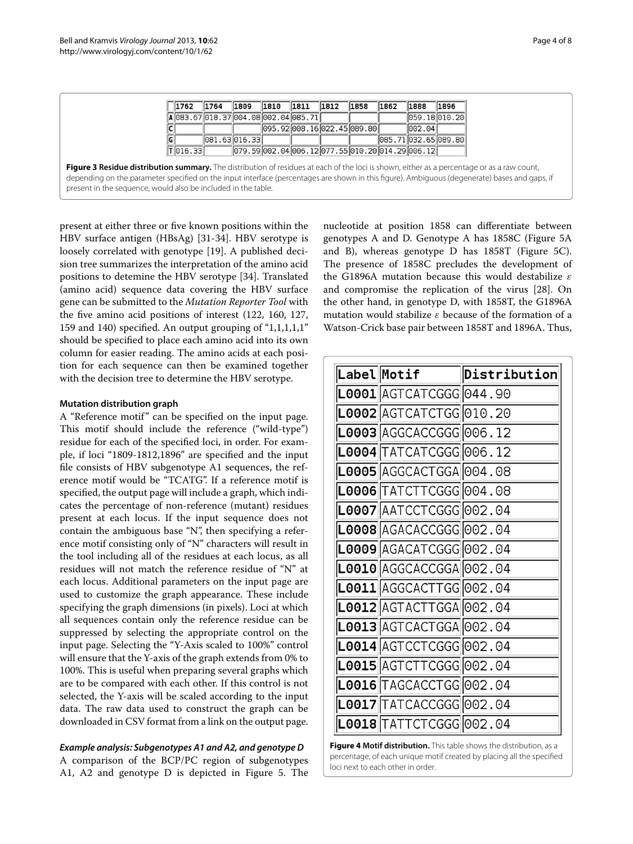|    | 1762                            | 1764          | 1809 | 1810 | 1811 | 1812 | 1858                                                 | 1862                 | 1888          | 1896 |
|----|---------------------------------|---------------|------|------|------|------|------------------------------------------------------|----------------------|---------------|------|
|    | A083.67018.37004.08002.04085.71 |               |      |      |      |      |                                                      |                      | 059.18 010.20 |      |
|    |                                 |               |      |      |      |      | 095.92  008.16  022.45  089.80                       |                      | 002.04        |      |
| lG |                                 | 081.63 016.33 |      |      |      |      |                                                      | 085.71 032.65 089.80 |               |      |
|    | $T$   016.33                    |               |      |      |      |      | $[079.59]002.04]006.12[077.55]010.20[014.29]006.12]$ |                      |               |      |

<span id="page-3-0"></span>depending on the parameter specified on the input interface (percentages are shown in this figure). Ambiguous (degenerate) bases and gaps, if present in the sequence, would also be included in the table.

present at either three or five known positions within the HBV surface antigen (HBsAg) [\[31](#page-6-25)[-34\]](#page-6-26). HBV serotype is loosely correlated with genotype [\[19\]](#page-6-13). A published decision tree summarizes the interpretation of the amino acid positions to detemine the HBV serotype [\[34\]](#page-6-26). Translated (amino acid) sequence data covering the HBV surface gene can be submitted to the *Mutation Reporter Tool* with the five amino acid positions of interest (122, 160, 127, 159 and 140) specified. An output grouping of "1,1,1,1,1" should be specified to place each amino acid into its own column for easier reading. The amino acids at each position for each sequence can then be examined together with the decision tree to determine the HBV serotype.

# **Mutation distribution graph**

A "Reference motif" can be specified on the input page. This motif should include the reference ("wild-type") residue for each of the specified loci, in order. For example, if loci "1809-1812,1896" are specified and the input file consists of HBV subgenotype A1 sequences, the reference motif would be "TCATG". If a reference motif is specified, the output page will include a graph, which indicates the percentage of non-reference (mutant) residues present at each locus. If the input sequence does not contain the ambiguous base "N", then specifying a reference motif consisting only of "N" characters will result in the tool including all of the residues at each locus, as all residues will not match the reference residue of "N" at each locus. Additional parameters on the input page are used to customize the graph appearance. These include specifying the graph dimensions (in pixels). Loci at which all sequences contain only the reference residue can be suppressed by selecting the appropriate control on the input page. Selecting the "Y-Axis scaled to 100%" control will ensure that the Y-axis of the graph extends from 0% to 100%. This is useful when preparing several graphs which are to be compared with each other. If this control is not selected, the Y-axis will be scaled according to the input data. The raw data used to construct the graph can be downloaded in CSV format from a link on the output page.

# *Example analysis: Subgenotypes A1 and A2, and genotype D*

A comparison of the BCP/PC region of subgenotypes A1, A2 and genotype D is depicted in Figure [5.](#page-4-0) The nucleotide at position 1858 can differentiate between genotypes A and D. Genotype A has 1858C (Figure [5A](#page-4-0) and B), whereas genotype D has 1858T (Figure [5C](#page-4-0)). The presence of 1858C precludes the development of the G1896A mutation because this would destabilize *ε* and compromise the replication of the virus [\[28\]](#page-6-22). On the other hand, in genotype D, with 1858T, the G1896A mutation would stabilize *ε* because of the formation of a Watson-Crick base pair between 1858T and 1896A. Thus,

| Label Motif |                         | Distribution |
|-------------|-------------------------|--------------|
|             | L0001 AGTCATCGGG 044.90 |              |
|             | L0002 AGTCATCTGG 010.20 |              |
|             | L0003 AGGCACCGGG 006.12 |              |
|             | L0004 TATCATCGGG 006.12 |              |
|             | L0005 AGGCACTGGA 004.08 |              |
|             | L0006 TATCTTCGGG 004.08 |              |
|             | L0007 AATCCTCGGG 002.04 |              |
|             | L0008 AGACACCGGG 002.04 |              |
|             | L0009 AGACATCGGG 002.04 |              |
|             | L0010 AGGCACCGGA 002.04 |              |
|             | L0011 AGGCACTTGG 002.04 |              |
|             | L0012 AGTACTTGGA 002.04 |              |
|             | L0013 AGTCACTGGA 002.04 |              |
|             | L0014 AGTCCTCGGG 002.04 |              |
|             | L0015 AGTCTTCGGG 002.04 |              |
|             | L0016 TAGCACCTGG 002.04 |              |
|             | L0017 TATCACCGGG 002.04 |              |
|             | L0018 TATTCTCGGG 002.04 |              |

<span id="page-3-1"></span>**Figure 4 Motif distribution.** This table shows the distribution, as a percentage, of each unique motif created by placing all the specified loci next to each other in order.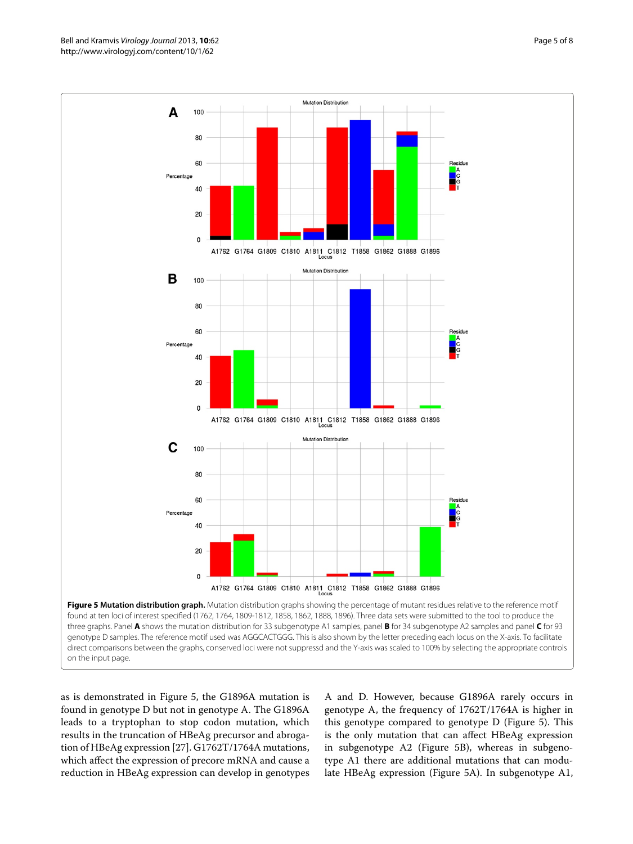<span id="page-4-0"></span>as is demonstrated in Figure [5,](#page-4-0) the G1896A mutation is found in genotype D but not in genotype A. The G1896A leads to a tryptophan to stop codon mutation, which results in the truncation of HBeAg precursor and abrogation of HBeAg expression [\[27\]](#page-6-21). G1762T/1764A mutations, which affect the expression of precore mRNA and cause a reduction in HBeAg expression can develop in genotypes

A and D. However, because G1896A rarely occurs in genotype A, the frequency of 1762T/1764A is higher in this genotype compared to genotype D (Figure [5\)](#page-4-0). This is the only mutation that can affect HBeAg expression in subgenotype A2 (Figure [5B](#page-4-0)), whereas in subgenotype A1 there are additional mutations that can modulate HBeAg expression (Figure [5A](#page-4-0)). In subgenotype A1,



**Mutation Distribution** 

A

Percentage

100

80

60

40

20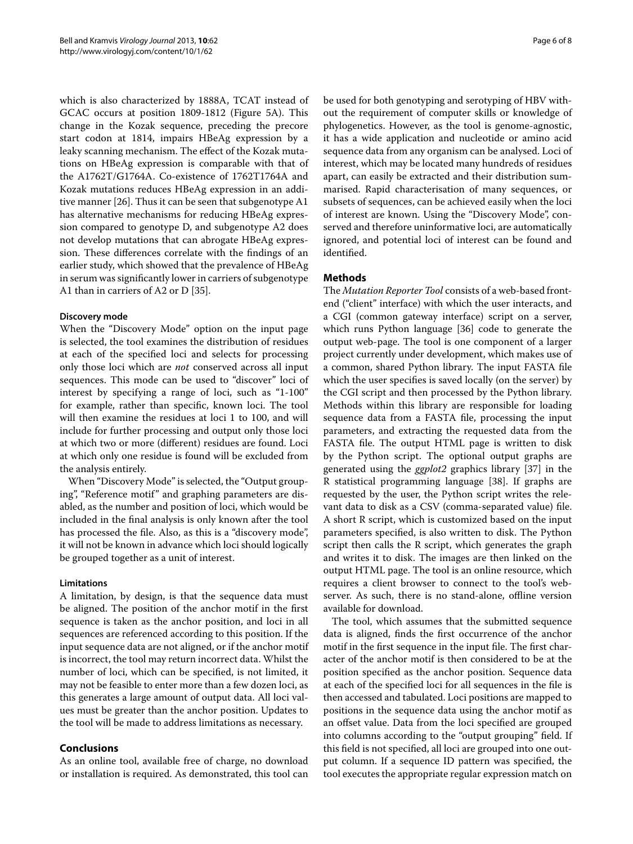which is also characterized by 1888A, TCAT instead of GCAC occurs at position 1809-1812 (Figure [5A](#page-4-0)). This change in the Kozak sequence, preceding the precore start codon at 1814, impairs HBeAg expression by a leaky scanning mechanism. The effect of the Kozak mutations on HBeAg expression is comparable with that of the A1762T/G1764A. Co-existence of 1762T1764A and Kozak mutations reduces HBeAg expression in an additive manner [\[26\]](#page-6-20). Thus it can be seen that subgenotype A1 has alternative mechanisms for reducing HBeAg expression compared to genotype D, and subgenotype A2 does not develop mutations that can abrogate HBeAg expression. These differences correlate with the findings of an earlier study, which showed that the prevalence of HBeAg in serum was significantly lower in carriers of subgenotype A1 than in carriers of A2 or D [\[35\]](#page-6-27).

# **Discovery mode**

When the "Discovery Mode" option on the input page is selected, the tool examines the distribution of residues at each of the specified loci and selects for processing only those loci which are *not* conserved across all input sequences. This mode can be used to "discover" loci of interest by specifying a range of loci, such as "1-100" for example, rather than specific, known loci. The tool will then examine the residues at loci 1 to 100, and will include for further processing and output only those loci at which two or more (different) residues are found. Loci at which only one residue is found will be excluded from the analysis entirely.

When "Discovery Mode" is selected, the "Output grouping", "Reference motif" and graphing parameters are disabled, as the number and position of loci, which would be included in the final analysis is only known after the tool has processed the file. Also, as this is a "discovery mode", it will not be known in advance which loci should logically be grouped together as a unit of interest.

## **Limitations**

A limitation, by design, is that the sequence data must be aligned. The position of the anchor motif in the first sequence is taken as the anchor position, and loci in all sequences are referenced according to this position. If the input sequence data are not aligned, or if the anchor motif is incorrect, the tool may return incorrect data. Whilst the number of loci, which can be specified, is not limited, it may not be feasible to enter more than a few dozen loci, as this generates a large amount of output data. All loci values must be greater than the anchor position. Updates to the tool will be made to address limitations as necessary.

# **Conclusions**

As an online tool, available free of charge, no download or installation is required. As demonstrated, this tool can be used for both genotyping and serotyping of HBV without the requirement of computer skills or knowledge of phylogenetics. However, as the tool is genome-agnostic, it has a wide application and nucleotide or amino acid sequence data from any organism can be analysed. Loci of interest, which may be located many hundreds of residues apart, can easily be extracted and their distribution summarised. Rapid characterisation of many sequences, or subsets of sequences, can be achieved easily when the loci of interest are known. Using the "Discovery Mode", conserved and therefore uninformative loci, are automatically ignored, and potential loci of interest can be found and identified.

# **Methods**

The *Mutation Reporter Tool* consists of a web-based frontend ("client" interface) with which the user interacts, and a CGI (common gateway interface) script on a server, which runs Python language [\[36\]](#page-7-0) code to generate the output web-page. The tool is one component of a larger project currently under development, which makes use of a common, shared Python library. The input FASTA file which the user specifies is saved locally (on the server) by the CGI script and then processed by the Python library. Methods within this library are responsible for loading sequence data from a FASTA file, processing the input parameters, and extracting the requested data from the FASTA file. The output HTML page is written to disk by the Python script. The optional output graphs are generated using the *ggplot2* graphics library [\[37\]](#page-7-1) in the R statistical programming language [\[38\]](#page-7-2). If graphs are requested by the user, the Python script writes the relevant data to disk as a CSV (comma-separated value) file. A short R script, which is customized based on the input parameters specified, is also written to disk. The Python script then calls the R script, which generates the graph and writes it to disk. The images are then linked on the output HTML page. The tool is an online resource, which requires a client browser to connect to the tool's webserver. As such, there is no stand-alone, offline version available for download.

The tool, which assumes that the submitted sequence data is aligned, finds the first occurrence of the anchor motif in the first sequence in the input file. The first character of the anchor motif is then considered to be at the position specified as the anchor position. Sequence data at each of the specified loci for all sequences in the file is then accessed and tabulated. Loci positions are mapped to positions in the sequence data using the anchor motif as an offset value. Data from the loci specified are grouped into columns according to the "output grouping" field. If this field is not specified, all loci are grouped into one output column. If a sequence ID pattern was specified, the tool executes the appropriate regular expression match on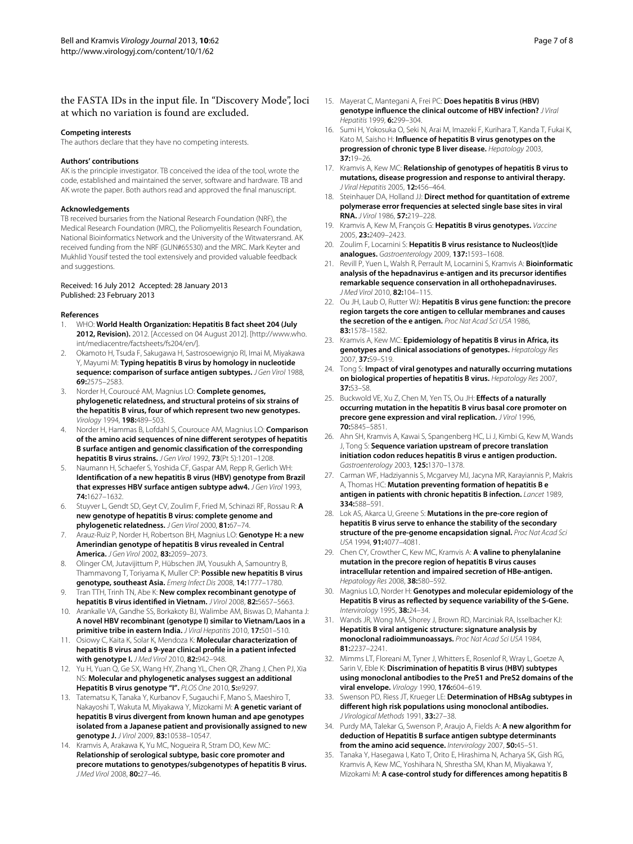# the FASTA IDs in the input file. In "Discovery Mode", loci at which no variation is found are excluded.

#### **Competing interests**

The authors declare that they have no competing interests.

#### **Authors' contributions**

AK is the principle investigator. TB conceived the idea of the tool, wrote the code, established and maintained the server, software and hardware. TB and AK wrote the paper. Both authors read and approved the final manuscript.

#### **Acknowledgements**

TB received bursaries from the National Research Foundation (NRF), the Medical Research Foundation (MRC), the Poliomyelitis Research Foundation, National Bioinformatics Network and the University of the Witwatersrand. AK received funding from the NRF (GUN#65530) and the MRC. Mark Keyter and Mukhlid Yousif tested the tool extensively and provided valuable feedback and suggestions.

#### Received: 16 July 2012 Accepted: 28 January 2013 Published: 23 February 2013

#### **References**

- <span id="page-6-0"></span>WHO: World Health Organization: Hepatitis B fact sheet 204 (July **2012, Revision).** 2012. [Accessed on 04 August 2012]. [\[http://www.who.](http://www.who.int/mediacentre/factsheets/fs204/en/) [int/mediacentre/factsheets/fs204/en/\]](http://www.who.int/mediacentre/factsheets/fs204/en/).
- <span id="page-6-1"></span>2. Okamoto H, Tsuda F, Sakugawa H, Sastrosoewignjo RI, Imai M, Miyakawa Y, Mayumi M: **Typing hepatitis B virus by homology in nucleotide sequence: comparison of surface antigen subtypes.** J Gen Virol 1988, **69:**2575–2583.
- <span id="page-6-2"></span>3. Norder H, Couroucé AM, Magnius LO: **Complete genomes, phylogenetic relatedness, and structural proteins of six strains of the hepatitis B virus, four of which represent two new genotypes.** Virology 1994, **198:**489–503.
- 4. Norder H, Hammas B, Lofdahl S, Courouce AM, Magnius LO: **Comparison of the amino acid sequences of nine different serotypes of hepatitis B surface antigen and genomic classification of the corresponding hepatitis B virus strains.** J Gen Virol 1992, **73**(Pt 5):1201–1208.
- <span id="page-6-3"></span>5. Naumann H, Schaefer S, Yoshida CF, Gaspar AM, Repp R, Gerlich WH: **Identification of a new hepatitis B virus (HBV) genotype from Brazil that expresses HBV surface antigen subtype adw4.** J Gen Virol 1993, **74:**1627–1632.
- <span id="page-6-4"></span>6. Stuyver L, Gendt SD, Geyt CV, Zoulim F, Fried M, Schinazi RF, Rossau R: **A new genotype of hepatitis B virus: complete genome and phylogenetic relatedness.** J Gen Virol 2000, **81:**67–74.
- <span id="page-6-5"></span>7. Arauz-Ruiz P, Norder H, Robertson BH, Magnius LO: **Genotype H: a new Amerindian genotype of hepatitis B virus revealed in Central America.** J Gen Virol 2002, **83:**2059–2073.
- <span id="page-6-6"></span>8. Olinger CM, Jutavijittum P, Hübschen JM, Yousukh A, Samountry B, Thammavong T, Toriyama K, Muller CP: **Possible new hepatitis B virus genotype, southeast Asia.** Emerg Infect Dis 2008, **14:**1777–1780.
- 9. Tran TTH, Trinh TN, Abe K: **New complex recombinant genotype of hepatitis B virus identified in Vietnam.** J Virol 2008, **82:**5657–5663.
- 10. Arankalle VA, Gandhe SS, Borkakoty BJ, Walimbe AM, Biswas D, Mahanta J: **A novel HBV recombinant (genotype I) similar to Vietnam/Laos in a primitive tribe in eastern India.** J Viral Hepatitis 2010, **17:**501–510.
- 11. Osiowy C, Kaita K, Solar K, Mendoza K: **Molecular characterization of hepatitis B virus and a 9-year clinical profile in a patient infected with genotype I.** J Med Virol 2010, **82:**942–948.
- <span id="page-6-7"></span>12. Yu H, Yuan Q, Ge SX, Wang HY, Zhang YL, Chen QR, Zhang J, Chen PJ, Xia NS: **Molecular and phylogenetic analyses suggest an additional Hepatitis B virus genotype "I".** PLOS One 2010, **5:**e9297.
- <span id="page-6-8"></span>13. Tatematsu K, Tanaka Y, Kurbanov F, Sugauchi F, Mano S, Maeshiro T, Nakayoshi T, Wakuta M, Miyakawa Y, Mizokami M: **A genetic variant of hepatitis B virus divergent from known human and ape genotypes isolated from a Japanese patient and provisionally assigned to new genotype J.** J Virol 2009, **83:**10538–10547.
- <span id="page-6-9"></span>14. Kramvis A, Arakawa K, Yu MC, Nogueira R, Stram DO, Kew MC: **Relationship of serological subtype, basic core promoter and precore mutations to genotypes/subgenotypes of hepatitis B virus.** J Med Virol 2008, **80:**27–46.
- <span id="page-6-10"></span>15. Mayerat C, Mantegani A, Frei PC: **Does hepatitis B virus (HBV) genotype influence the clinical outcome of HBV infection?** J Viral Hepatitis 1999, **6:**299–304.
- 16. Sumi H, Yokosuka O, Seki N, Arai M, Imazeki F, Kurihara T, Kanda T, Fukai K, Kato M, Saisho H: **Influence of hepatitis B virus genotypes on the progression of chronic type B liver disease.** Hepatology 2003, **37:**19–26.
- <span id="page-6-11"></span>17. Kramvis A, Kew MC: **Relationship of genotypes of hepatitis B virus to mutations, disease progression and response to antiviral therapy.** J Viral Hepatitis 2005, **12:**456–464.
- <span id="page-6-12"></span>18. Steinhauer DA, Holland JJ: **Direct method for quantitation of extreme polymerase error frequencies at selected single base sites in viral RNA.** J Virol 1986, **57:**219–228.
- <span id="page-6-13"></span>19. Kramvis A, Kew M, François G: Hepatitis B virus genotypes. Vaccine 2005, **23:**2409–2423.
- <span id="page-6-14"></span>20. Zoulim F, Locarnini S: **Hepatitis B virus resistance to Nucleos(t)ide analogues.** Gastroenterology 2009, **137:**1593–1608.
- <span id="page-6-15"></span>21. Revill P, Yuen L, Walsh R, Perrault M, Locarnini S, Kramvis A: **Bioinformatic analysis of the hepadnavirus e-antigen and its precursor identifies remarkable sequence conservation in all orthohepadnaviruses.** J Med Virol 2010, **82:**104–115.
- <span id="page-6-16"></span>22. Ou JH, Laub O, Rutter WJ: **Hepatitis B virus gene function: the precore region targets the core antigen to cellular membranes and causes the secretion of the e antigen.** Proc Nat Acad Sci USA 1986, **83:**1578–1582.
- <span id="page-6-17"></span>23. Kramvis A, Kew MC: **Epidemiology of hepatitis B virus in Africa, its genotypes and clinical associations of genotypes.** Hepatology Res 2007, **37:**S9–S19.
- <span id="page-6-18"></span>24. Tong S: **Impact of viral genotypes and naturally occurring mutations on biological properties of hepatitis B virus.** Hepatology Res 2007, **37:**S3–S8.
- <span id="page-6-19"></span>25. Buckwold VE, Xu Z, Chen M, Yen TS, Ou JH: **Effects of a naturally occurring mutation in the hepatitis B virus basal core promoter on precore gene expression and viral replication.** J Virol 1996, **70:**5845–5851.
- <span id="page-6-20"></span>26. Ahn SH, Kramvis A, Kawai S, Spangenberg HC, Li J, Kimbi G, Kew M, Wands J, Tong S: **Sequence variation upstream of precore translation initiation codon reduces hepatitis B virus e antigen production.** Gastroenterology 2003, **125:**1370–1378.
- <span id="page-6-21"></span>27. Carman WF, Hadziyannis S, Mcgarvey MJ, Jacyna MR, Karayiannis P, Makris A, Thomas HC: **Mutation preventing formation of hepatitis B e antigen in patients with chronic hepatitis B infection.** Lancet 1989, **334:**588–591.
- <span id="page-6-22"></span>28. Lok AS, Akarca U, Greene S: **Mutations in the pre-core region of hepatitis B virus serve to enhance the stability of the secondary structure of the pre-genome encapsidation signal.** Proc Nat Acad Sci USA 1994, **91:**4077–4081.
- <span id="page-6-23"></span>29. Chen CY, Crowther C, Kew MC, Kramvis A: **A valine to phenylalanine mutation in the precore region of hepatitis B virus causes intracellular retention and impaired secretion of HBe-antigen.** Hepatology Res 2008, **38:**580–592.
- <span id="page-6-24"></span>30. Magnius LO, Norder H: **Genotypes and molecular epidemiology of the Hepatitis B virus as reflected by sequence variability of the S-Gene.** Intervirology 1995, **38:**24–34.
- <span id="page-6-25"></span>31. Wands JR, Wong MA, Shorey J, Brown RD, Marciniak RA, Isselbacher KJ: **Hepatitis B viral antigenic structure: signature analysis by monoclonal radioimmunoassays.** Proc Nat Acad Sci USA 1984, **81:**2237–2241.
- 32. Mimms LT, Floreani M, Tyner J, Whitters E, Rosenlof R, Wray L, Goetze A, Sarin V, Eble K: **Discrimination of hepatitis B virus (HBV) subtypes using monoclonal antibodies to the PreS1 and PreS2 domains of the viral envelope.** Virology 1990, **176:**604–619.
- 33. Swenson PD, Riess JT, Krueger LE: **Determination of HBsAg subtypes in different high risk populations using monoclonal antibodies.** J Virological Methods 1991, **33:**27–38.
- <span id="page-6-26"></span>34. Purdy MA, Talekar G, Swenson P, Araujo A, Fields A: **A new algorithm for deduction of Hepatitis B surface antigen subtype determinants from the amino acid sequence.** Intervirology 2007, **50:**45–51.
- <span id="page-6-27"></span>35. Tanaka Y, Hasegawa I, Kato T, Orito E, Hirashima N, Acharya SK, Gish RG, Kramvis A, Kew MC, Yoshihara N, Shrestha SM, Khan M, Miyakawa Y, Mizokami M: **A case-control study for differences among hepatitis B**